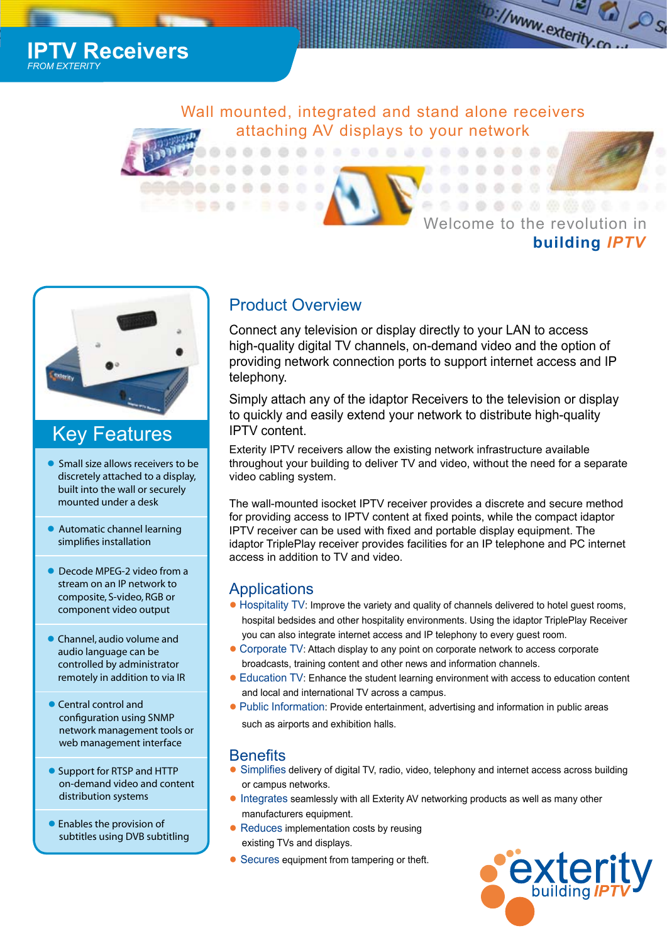*I* Receivers *FROM EXTERITY*

> Wall mounted, integrated and stand alone receivers attaching AV displays to your network

## Welcome to the revolution in **building** *IPTV*

the://www.exterity.c

د'



## Key Features

- Small size allows receivers to be discretely attached to a display, built into the wall or securely mounted under a desk
- Automatic channel learning simplifies installation
- Decode MPEG-2 video from a stream on an IP network to composite, S-video, RGB or component video output
- Channel, audio volume and audio language can be controlled by administrator remotely in addition to via IR
- Central control and configuration using SNMP network management tools or web management interface
- Support for RTSP and HTTP on-demand video and content distribution systems
- Enables the provision of subtitles using DVB subtitling

## Product Overview

Connect any television or display directly to your LAN to access high-quality digital TV channels, on-demand video and the option of providing network connection ports to support internet access and IP telephony.

Simply attach any of the idaptor Receivers to the television or display to quickly and easily extend your network to distribute high-quality IPTV content.

Exterity IPTV receivers allow the existing network infrastructure available throughout your building to deliver TV and video, without the need for a separate video cabling system.

The wall-mounted isocket IPTV receiver provides a discrete and secure method for providing access to IPTV content at fixed points, while the compact idaptor IPTV receiver can be used with fixed and portable display equipment. The idaptor TriplePlay receiver provides facilities for an IP telephone and PC internet access in addition to TV and video.

## **Applications**

- Hospitality TV: Improve the variety and quality of channels delivered to hotel guest rooms, hospital bedsides and other hospitality environments. Using the idaptor TriplePlay Receiver you can also integrate internet access and IP telephony to every guest room.
- Corporate TV: Attach display to any point on corporate network to access corporate broadcasts, training content and other news and information channels.
- Education TV: Enhance the student learning environment with access to education content and local and international TV across a campus.
- Public Information: Provide entertainment, advertising and information in public areas such as airports and exhibition halls.

## **Benefits**

- Simplifies delivery of digital TV, radio, video, telephony and internet access across building or campus networks.
- Integrates seamlessly with all Exterity AV networking products as well as many other manufacturers equipment.
- Reduces implementation costs by reusing existing TVs and displays.
- Secures equipment from tampering or theft.

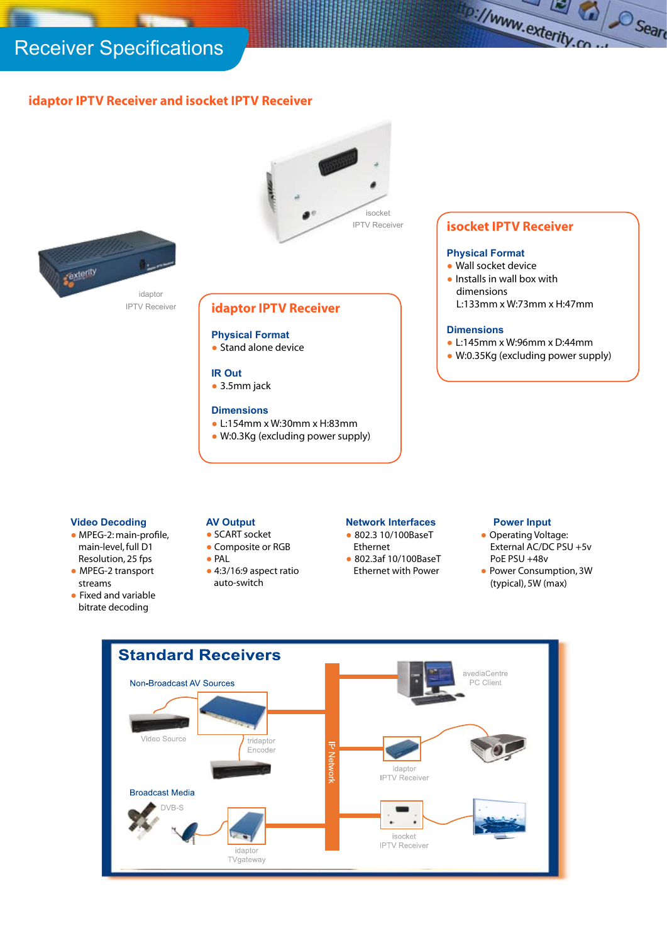# Receiver Specifications

### **idaptor IPTV Receiver and isocket IPTV Receiver**



#### **Video Decoding**

- MPEG-2: main-profile, main-level, full D1 Resolution, 25 fps
- MPEG-2 transport streams
- Fixed and variable bitrate decoding

#### **AV Output**

- SCART socket
- Composite or RGB
- PAL
- 4:3/16:9 aspect ratio auto-switch

#### **Network Interfaces**

- 802.3 10/100BaseT
- Ethernet ● 802.3af 10/100BaseT Ethernet with Power
- **Power Input** ● Operating Voltage: External AC/DC PSU +5v

the://www.exterity.co

Cal Searc

- PoE PSU +48v
- Power Consumption, 3W (typical), 5W (max)

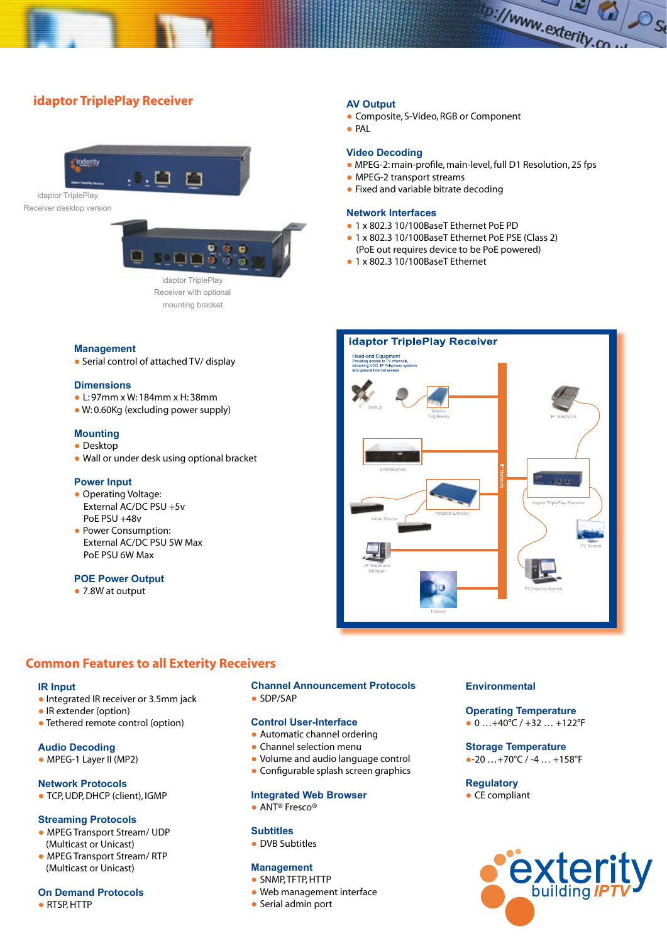### **idaptor TriplePlay Receiver**





Receiver with optional mounting bracket

#### **AV Output**

- Composite, S-Video, RGB or Component
- PAL

#### **Video Decoding**

● MPEG-2: main-profile, main-level, full D1 Resolution, 25 fps

the://www.exterity.co

 $\Omega/\mathcal{O}_{S_0}$ 

- MPEG-2 transport streams
- $\bullet$  Fixed and variable bitrate decoding

#### **Network Interfaces**

- 1 x 802.3 10/100BaseT Ethernet PoE PD
- 1 x 802.3 10/100BaseT Ethernet PoE PSE (Class 2) (PoE out requires device to be PoE powered)
- 1 x 802.3 10/100BaseT Ethernet



### **Management**

• Serial control of attached TV/ display

#### **Dimensions**

- L: 97mm x W: 184mm x H: 38mm
- W: 0.60Kg (excluding power supply)

#### **Mounting**

#### ● Desktop

● Wall or under desk using optional bracket

#### **Power Input**

- Operating Voltage: External AC/DC PSU +5v PoE PSU +48v
- Power Consumption: External AC/DC PSU 5W Max PoE PSU 6W Max

#### **POE Power Output**

● 7.8W at output

#### **Common Features to all Exterity Receivers**

#### **IR Input**

- Integrated IR receiver or 3.5mm jack
- IR extender (option)
- Tethered remote control (option)

#### **Audio Decoding**

● MPEG-1 Layer II (MP2)

#### **Network Protocols**

● TCP, UDP, DHCP (client), IGMP

#### **Streaming Protocols**

- MPEG Transport Stream/ UDP (Multicast or Unicast)
- MPEG Transport Stream/ RTP (Multicast or Unicast)

#### **On Demand Protocols**

● RTSP, HTTP

#### **Channel Announcement Protocols** ● SDP/SAP

#### **Control User-Interface**

- Automatic channel ordering
- Channel selection menu
- Volume and audio language control
- Configurable splash screen graphics

#### **Integrated Web Browser**

● ANT<sup>®</sup> Fresco®

#### **Subtitles**

● DVB Subtitles

#### **Management**

- SNMP, TFTP, HTTP
- Web management interface
- Serial admin port

#### **Environmental**

### **Operating Temperature**

### $\bullet$  0 ... +40°C / +32 ... +122°F

#### **Storage Temperature**  $\bullet$ -20 …+70°C / -4 … +158°F

**Regulatory**

 $\bullet$  CE compliant